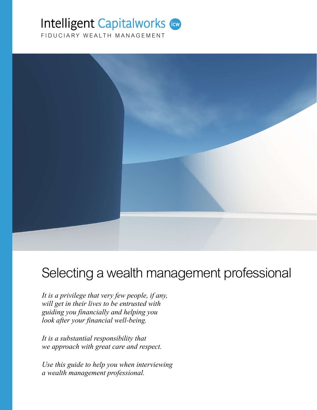# **Intelligent Capitalworks (GW)**

FIDUCIARY WEALTH MANAGEMENT



# Selecting a wealth management professional

*It is a privilege that very few people, if any, will get in their lives to be entrusted with guiding you financially and helping you look after your financial well-being.*

*It is a substantial responsibility that we approach with great care and respect.*

*Use this guide to help you when interviewing a wealth management professional.*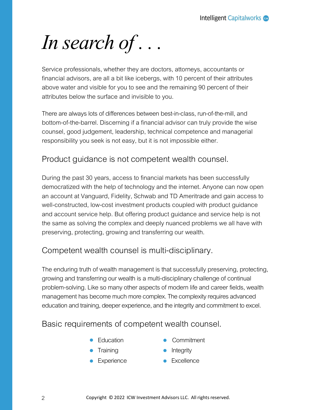*In search of . . .*

Service professionals, whether they are doctors, attorneys, accountants or financial advisors, are all a bit like icebergs, with 10 percent of their attributes above water and visible for you to see and the remaining 90 percent of their attributes below the surface and invisible to you.

There are always lots of differences between best-in-class, run-of-the-mill, and bottom-of-the-barrel. Discerning if a financial advisor can truly provide the wise counsel, good judgement, leadership, technical competence and managerial responsibility you seek is not easy, but it is not impossible either.

## Product guidance is not competent wealth counsel.

During the past 30 years, access to financial markets has been successfully democratized with the help of technology and the internet. Anyone can now open an account at Vanguard, Fidelity, Schwab and TD Ameritrade and gain access to well-constructed, low-cost investment products coupled with product guidance and account service help. But offering product guidance and service help is not the same as solving the complex and deeply nuanced problems we all have with preserving, protecting, growing and transferring our wealth.

## Competent wealth counsel is multi-disciplinary.

The enduring truth of wealth management is that successfully preserving, protecting, growing and transferring our wealth is a multi-disciplinary challenge of continual problem-solving. Like so many other aspects of modern life and career fields, wealth management has become much more complex. The complexity requires advanced education and training, deeper experience, and the integrity and commitment to excel.

## Basic requirements of competent wealth counsel.

- **•** Education
- **•** Training
- **•** Experience
- **Commitment**
- $\bullet$  Integrity
- **•** Excellence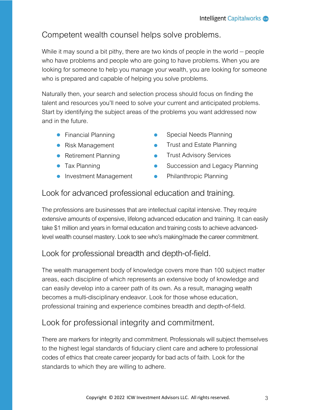# Competent wealth counsel helps solve problems.

While it may sound a bit pithy, there are two kinds of people in the world *–* people who have problems and people who are going to have problems. When you are looking for someone to help you manage your wealth, you are looking for someone who is prepared and capable of helping you solve problems.

Naturally then, your search and selection process should focus on finding the talent and resources you'll need to solve your current and anticipated problems. Start by identifying the subject areas of the problems you want addressed now and in the future.

- **•** Financial Planning
- Risk Management
- Retirement Planning
- **Tax Planning**
- **•** Investment Management
- Special Needs Planning
- Trust and Estate Planning  $\bullet$
- Trust Advisory Services  $\bullet$
- Succession and Legacy Planning
- Philanthropic Planning

## Look for advanced professional education and training.

The professions are businesses that are intellectual capital intensive. They require extensive amounts of expensive, lifelong advanced education and training. It can easily take \$1 million and years in formal education and training costs to achieve advanced-<br>level wealth counsel mastery. Look to see who's making/made the career commitment.

# Look for professional breadth and depth-of-field.

The wealth management body of knowledge covers more than 100 subject matter areas, each discipline of which represents an extensive body of knowledge and can easily develop into a career path of its own. As a result, managing wealth becomes a multi-disciplinary endeavor. Look for those whose education, professional training and experience combines breadth and depth-of-field.

# Look for professional integrity and commitment.

There are markers for integrity and commitment. Professionals will subject themselves to the highest legal standards of fiduciary client care and adhere to professional codes of ethics that create career jeopardy for bad acts of faith. Look for the standards to which they are willing to adhere.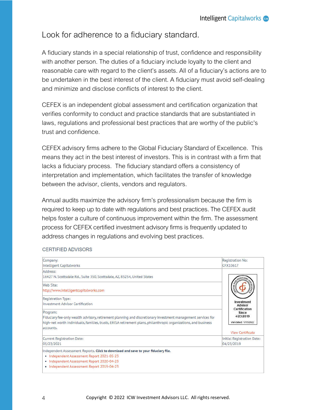## Look for adherence to a fiduciary standard.

A fiduciary stands in a special relationship of trust, confidence and responsibility with another person. The duties of a fiduciary include loyalty to the client and reasonable care with regard to the client's assets. All of a fiduciary's actions are to be undertaken in the best interest of the client. A fiduciary must avoid self-dealing and minimize and disclose conflicts of interest to the client.

CEFEX is an independent global assessment and certification organization that verifies conformity to conduct and practice standards that are substantiated in laws, regulations and professional best practices that are worthy of the public's trust and confidence.

CEFEX advisory firms adhere to the Global Fiduciary Standard of Excellence. This means they act in the best interest of investors. This is in contrast with a firm that lacks a fiduciary process. The fiduciary standard offers a consistency of interpretation and implementation, which facilitates the transfer of knowledge between the advisor, clients, vendors and regulators.

Annual audits maximize the advisory firm's professionalism because the firm is required to keep up to date with regulations and best practices. The CEFEX audit helps foster a culture of continuous improvement within the firm. The assessment process for CEFEX certified investment advisory firms is frequently updated to address changes in regulations and evolving best practices.

#### CERTIFIED ADVISORS

| Company:                                                                                                        | Registration No:                         |  |  |
|-----------------------------------------------------------------------------------------------------------------|------------------------------------------|--|--|
| Intelligent Capitalworks                                                                                        | CFX10617                                 |  |  |
| Address:                                                                                                        |                                          |  |  |
| 16427 N. Scottsdale Rd., Suite 350, Scottsdale, AZ, 85254, United States                                        |                                          |  |  |
| Web Site:                                                                                                       |                                          |  |  |
| http://www.intelligentcapitalworks.com                                                                          |                                          |  |  |
| Registration Type:                                                                                              |                                          |  |  |
| Investment Advisor Certification                                                                                | Investment<br>Advisor                    |  |  |
| Program:                                                                                                        | Certification<br>Since                   |  |  |
| Fiduciary fee-only wealth advisory, retirement planning and discretionary investment management services for    | 4/23/2019                                |  |  |
| high-net worth individuals, families, trusts, ERISA retirement plans, philanthropic organizations, and business | Validated: 1/15/2022                     |  |  |
| accounts.                                                                                                       |                                          |  |  |
|                                                                                                                 | <b>View Certificate</b>                  |  |  |
| Current Registration Date:                                                                                      | Initial Registration Date:<br>04/23/2019 |  |  |
| 05/23/2021                                                                                                      |                                          |  |  |
| Independent Assessment Reports. Click to download and save to your fiduciary file.                              |                                          |  |  |
| • Independent Assessment Report 2021-05-23                                                                      |                                          |  |  |
| · Independent Assessment Report 2020-04-23                                                                      |                                          |  |  |
| • Independent Assessment Report 2019-04-23                                                                      |                                          |  |  |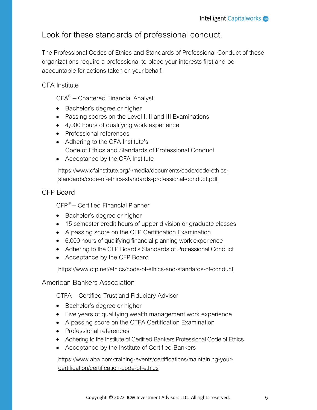## Look for these standards of professional conduct.

The Professional Codes of Ethics and Standards of Professional Conduct of these organizations require a professional to place your interests first and be accountable for actions taken on your behalf.

#### CFA Institute

CFA® *–* Chartered Financial Analyst

- Bachelor's degree or higher
- Passing scores on the Level I, II and III Examinations
- 4,000 hours of qualifying work experience
- Professional references
- Adhering to the CFA Institute's Code of Ethics and Standards of Professional Conduct
- Acceptance by the CFA Institute

https://www.cfainstitute.org/-/media/documents/code/code-ethics- standards/code-of-ethics-standards-professional-conduct.pdf

#### CFP Board

CFP® *–* Certified Financial Planner

- Bachelor's degree or higher
- 15 semester credit hours of upper division or graduate classes
- A passing score on the CFP Certification Examination
- 6,000 hours of qualifying financial planning work experience
- Adhering to the CFP Board's Standards of Professional Conduct
- Acceptance by the CFP Board

https://www.cfp.net/ethics/code-of-ethics-and-standards-of-conduct

American Bankers Association

CTFA *–* Certified Trust and Fiduciary Advisor

- Bachelor's degree or higher
- Five years of qualifying wealth management work experience
- A passing score on the CTFA Certification Examination
- Professional references
- Adhering to the Institute of Certified Bankers Professional Code of Ethics
- Acceptance by the Institute of Certified Bankers

https://www.aba.com/training-events/certifications/maintaining-your- certification/certification-code-of-ethics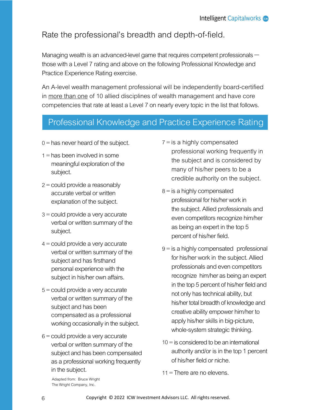# Rate the professional's breadth and depth-of-field.

Managing wealth is an advanced-level game that requires competent professionals –<br>those with a Level 7 rating and above on the following Professional Knowledge and Practice Experience Rating exercise.

An A-level wealth management professional will be independently board-certified in more than one of 10 allied disciplines of wealth management and have core competencies that rate at least a Level 7 on nearly every topic in the list that follows.

# Professional Knowledge and Practice Experience Rating Scale

- $0 =$  has never heard of the subject.
- $1 =$  has been involved in some meaningful exploration of the subject.
- 2 <sup>=</sup> could provide a reasonably accurate verbal or written explanation of the subject.
- 3 <sup>=</sup> could provide a very accurate verbal or written summary of the subject.
- 4 <sup>=</sup> could provide a very accurate verbal or written summary of the subject and has firsthand personal experience with the subject in his/her own affairs.
- 5 <sup>=</sup> could provide a very accurate verbal or written summary of the subject and has been compensated as a professional working occasionally in the subject.
- $6$  = could provide a very accurate verbal or written summary of the subject and has been compensated as a professional working frequently in the subject.
- $7 =$  is a highly compensated professional working frequently in the subject and is considered by many of his/her peers to be a credible authority on the subject.
- $8 =$  is a highly compensated professional for his/her work in the subject. Allied professionalsand even competitors recognize him/her as being an expert in the top 5 percent of his/her field.
- 9 <sup>=</sup> is a highly compensated professional for his/her work in the subject. Allied professionals and even competitors recognize him/her as being an expert in the top 5 percent of his/her field and not only has technical ability, but his/her total breadth of knowledge and creative ability empower him/her to apply his/her skills in big-picture, whole-system strategic thinking.
- $10 =$  is considered to be an international authority and/or is in the top 1 percent of his/her field or niche.
- $11$  = There are no elevens.

Adapted from: Bruce Wright The Wright Company, Inc.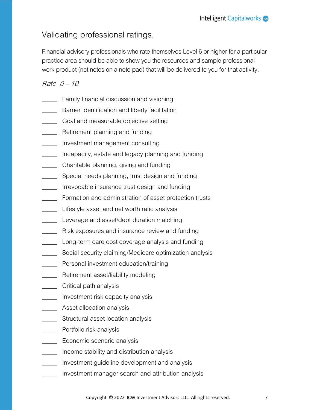## Validating professional ratings.

Financial advisory professionals who rate themselves Level 6 or higher for a particular practice area should be able to show you the resources and sample professional work product (not notes on a note pad) that will be delivered to you for that activity.

#### Rate 0 – 10

- **EXECUTE:** Family financial discussion and visioning
- **EXECUTE:** Barrier identification and liberty facilitation
- **EXECO** Goal and measurable objective setting
- **EXECUTE RETILE RETILE RETILE RETILE RETILE RETILE RETILE RETILE RETILE RETILE RETILE RETILE RETILE RETILE RETI**
- \_\_\_\_\_ Investment management consulting
- \_\_\_\_\_ Incapacity, estate and legacy planning and funding
- \_\_\_\_\_ Charitable planning, giving and funding
- **\_\_\_\_\_** Special needs planning, trust design and funding
- **\_\_\_\_\_** Irrevocable insurance trust design and funding
- **Formation and administration of asset protection trusts**
- **IVELGEE** Lifestyle asset and net worth ratio analysis
- **Leverage and asset/debt duration matching**
- **EXECUTE:** Risk exposures and insurance review and funding
- **Long-term care cost coverage analysis and funding**
- \_\_\_\_\_ Social security claiming/Medicare optimization analysis
- **\_\_\_\_\_** Personal investment education/training
- **\_\_\_\_\_** Retirement asset/liability modeling
- **\_\_\_\_\_** Critical path analysis
- \_\_\_\_\_ Investment risk capacity analysis
- **\_\_\_\_\_** Asset allocation analysis
- **WEIGHT Structural asset location analysis**
- \_\_\_\_\_\_ Portfolio risk analysis
- **LECONOMIC SCENARIO ANALYSIS**
- \_\_\_\_\_ Income stability and distribution analysis
- \_\_\_\_\_ Investment guideline development and analysis
- Investment manager search and attribution analysis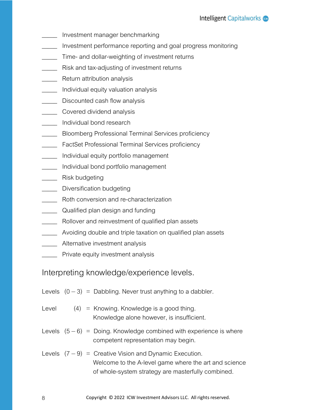- Investment manager benchmarking
- Investment performance reporting and goal progress monitoring
- **Time-and dollar-weighting of investment returns**
- **Nicklehriff** Risk and tax-adjusting of investment returns
- **EXECUTE:** Return attribution analysis
- \_\_\_\_\_ Individual equity valuation analysis
- **LETT** Discounted cash flow analysis
- **Example 20 Covered dividend analysis**
- \_\_\_\_\_ Individual bond research
- \_\_\_\_\_ Bloomberg Professional Terminal Services proficiency
- **\_\_\_\_\_** FactSet Professional Terminal Services proficiency
- \_\_\_\_\_ Individual equity portfolio management
- \_\_\_\_\_ Individual bond portfolio management
- \_\_\_\_\_ Risk budgeting
- **\_\_\_\_\_** Diversification budgeting
- \_\_\_\_\_ Roth conversion and re-characterization
- \_\_\_\_\_ Qualified plan design and funding
- **Nollover and reinvestment of qualified plan assets**
- \_\_\_\_\_ Avoiding double and triple taxation on qualified plan assets
- \_\_\_\_\_ Alternative investment analysis
- \_\_\_\_\_ Private equity investment analysis

#### Interpreting knowledge/experience levels.

|  | Levels $(0-3)$ = Dabbling. Never trust anything to a dabbler. |  |  |  |
|--|---------------------------------------------------------------|--|--|--|
|  |                                                               |  |  |  |

- Level  $(4)$  = Knowing. Knowledge is a good thing. Knowledge alone however, is insufficient.
- Levels  $(5-6)$  = Doing. Knowledge combined with experience is where competent representation may begin.
- Levels (7 9) = Creative Vision and Dynamic Execution. Welcome to the A-level game where the art and science of whole-system strategy are masterfully combined.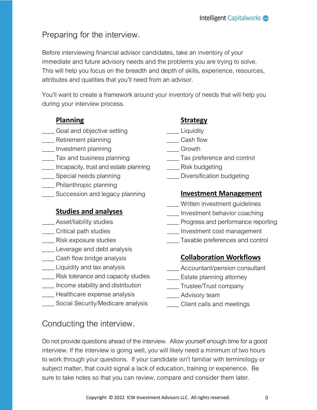## Preparing for the interview.

Before interviewing financial advisor candidates, take an inventory of your immediate and future advisory needs and the problems you are trying to solve. This will help you focus on the breadth and depth of skills, experience, resources, attributes and qualities that you'll need from an advisor.

You'll want to create a framework around your inventory of needs that will help you during your interview process.

### **Planning**

- \_\_\_\_ Goal and objective setting<br>\_\_\_\_ Retirement planning<br>\_\_\_\_ Investment planning
- 
- 
- \_\_\_\_ Tax and business planning
- \_\_\_\_ Incapacity, trust and estate planning<br>\_\_\_\_ Special needs planning<br>\_\_\_\_ Philanthropic planning<br>\_\_\_\_ Succession and legacy planning
- 
- 
- 

### **Studies and analyses**

- 
- 
- 
- 
- 
- 
- \_\_\_\_ Asset/liability studies<br>\_\_\_\_ Critical path studies<br>\_\_\_\_ Risk exposure studies<br>\_\_\_\_ Leverage and debt analysis<br>\_\_\_\_ Cash flow bridge analysis<br>\_\_\_\_ Risk tolerance and capacity studies<br>\_\_\_\_ Income stability and distribut
- 
- 
- 

## Conducting the interview.

### **Strategy**

- \_\_\_\_ Liquidity
- 
- 
- \_\_\_\_ Cash flow<br>\_\_\_\_ Growth<br>\_\_\_\_ Tax preference and control<br>\_\_\_\_ Risk budgeting<br>\_\_\_\_ Diversification budgeting
- 
- 

#### **Investment Management**

- 
- 
- \_\_\_\_ Written investment guidelines<br>\_\_\_\_ Investment behavior coaching<br>\_\_\_\_ Progress and performance reporting<br>\_\_\_\_ Investment cost management<br>\_\_\_\_Taxable preferences and control
- 
- 

## **Collaboration Workflows**

- \_\_\_\_ Accountant/pension consultant<br>
\_\_\_\_ Estate planning attorney<br>
\_\_\_\_ Trustee/Trust company<br>
\_\_\_\_ Advisory team<br>
\_\_\_\_ Client calls and meetings
- 
- 
- 
- 

Do not provide questions ahead of the interview. Allow yourself enough time for a good interview. If the interview is going well, you will likelyneed a minimum of two hours to work through your questions. If your candidate isn't familiar with terminology or subject matter, that could signal a lack of education, training or experience. Be sure to take notes so that you can review, compare and consider them later.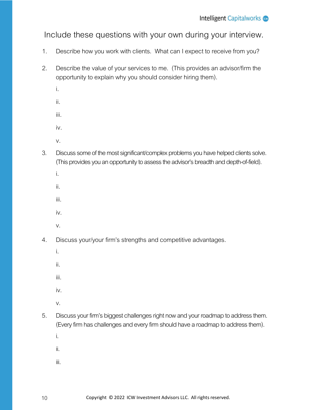Include these questions with your own during your interview.

- 1. Describe how you work with clients. What can I expect to receive from you?
- 2. Describe the value of your services to me. (This provides an advisor/firm the opportunity to explain why you should consider hiring them).
	- i.
	- ii.
	- iii.
	- iv.
	- v.
- 3. Discuss some of the most significant/complex problems you have helped clients solve. (This provides you an opportunity to assess the advisor's breadth and depth-of-field).
	- i.
	- ii.
	-
	- iii.
	- iv.
	- v.
- 4. Discuss your/your firm's strengths and competitive advantages.
	- i.
	- ii.
	- iii.
	- iv.
	- v.
- 5. Discuss your firm's biggest challenges right now and your roadmap to address them. (Every firm has challenges and every firm should have a roadmap to address them).
	- i.
	- ii.
	- iii.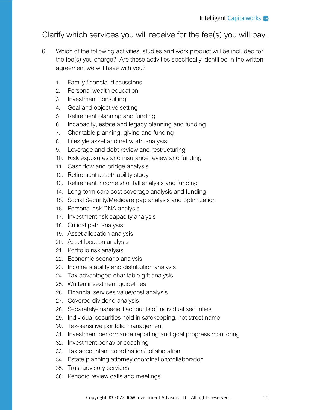## Clarify which services you will receive for the fee(s) you will pay.

- 6. Which of the following activities, studies and work product will be included for the fee(s) you charge? Are these activities specifically identified in the written agreement we will have with you?
	- 1. Family financial discussions
	- 2. Personal wealth education
	- 3. Investment consulting
	- 4. Goal and objective setting
	- 5. Retirement planning and funding
	- 6. Incapacity, estate and legacy planning and funding
	- 7. Charitable planning, giving and funding
	- 8. Lifestyle asset and net worth analysis
	- 9. Leverage and debt review and restructuring
	- 10. Risk exposures and insurance review and funding
	- 11. Cash flow and bridge analysis
	- 12. Retirement asset/liability study
	- 13. Retirement income shortfall analysis and funding
	- 14. Long-term care cost coverage analysis and funding
	- 15. Social Security/Medicare gap analysisand optimization
	- 16. Personal risk DNA analysis
	- 17. Investment risk capacity analysis
	- 18. Critical path analysis
	- 19. Asset allocation analysis
	- 20. Asset location analysis
	- 21. Portfolio risk analysis
	- 22. Economic scenario analysis
	- 23. Income stability and distribution analysis
	- 24. Tax-advantaged charitable gift analysis
	- 25. Written investment guidelines
	- 26. Financial services value/cost analysis
	- 27. Covered dividend analysis
	- 28. Separately-managed accounts of individual securities
	- 29. Individual securities held in safekeeping, not street name
	- 30. Tax-sensitive portfolio management
	- 31. Investment performance reporting and goal progress monitoring
	- 32. Investment behavior coaching
	- 33. Tax accountant coordination/collaboration
	- 34. Estate planning attorney coordination/collaboration
	- 35. Trust advisory services
	- 36. Periodic review calls and meetings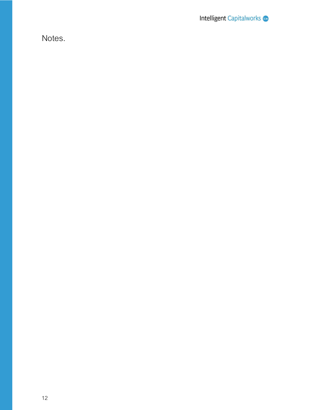Notes.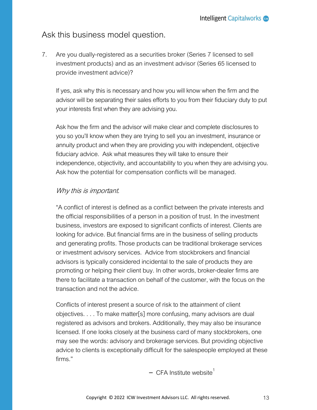#### Ask this business model question.

7. Are you dually-registered as asecurities broker (Series 7 licensed to sell investment products) and as an investment advisor (Series 65 licensed to provide investment advice)?

If yes, ask why this is necessary and how you will know when the firm and the advisor will be separating their sales efforts to you from their fiduciary duty to put your interests first when they are advising you.

Ask how the firm and the advisor will make clear and complete disclosures to you so you'll know when they are trying to sell you an investment, insurance or annuity product and when they are providing you with independent, objective fiduciary advice. Ask what measures they will take to ensure their independence, objectivity, and accountability to you when they are advising you. Ask how the potential for compensation conflicts will be managed.

#### Why this is important.

"A conflict of interest is defined as a conflict between the private interests and the official responsibilities of a person in a position of trust. In the investment business, investors are exposed to significant conflicts of interest. Clients are looking for advice. But financial firms are in the business of selling products and generating profits. Those products can be traditional brokerage services or investment advisory services. Advice from stockbrokers and financial advisors is typically considered incidental to the sale of products they are promoting or helping their client buy. In other words, broker-dealer firms are there to facilitate a transaction on behalf of the customer, with the focus on the transaction and not the advice.

Conflicts of interest present a source of risk to the attainment of client objectives. . . . To make matter[s] more confusing, many advisors are dual registered as advisors and brokers. Additionally, they may also be insurance licensed. If one looks closely at the business card of many stockbrokers, one may see the words: advisory and brokerage services. But providing objective advice to clients is exceptionally difficult for the salespeople employed at these firms."

- CFA Institute website<sup>1</sup>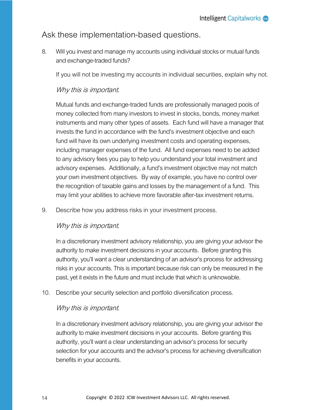## Ask these implementation-based questions.

8. Will you invest and manage my accounts using individual stocks or mutual funds and exchange-traded funds?

If you will not be investing my accounts in individual securities, explain why not.

#### Why this is important.

Mutual funds and exchange-traded funds are professionally managed pools of money collected from many investors to invest in stocks, bonds, money market instruments and many other types of assets. Each fund will have a manager that invests the fund in accordance with the fund's investment objective and each fund will have its own underlying investment costs and operating expenses, including manager expenses of the fund. All fund expenses need to be added to any advisory fees you pay to help you understand your total investment and advisory expenses. Additionally, a fund's investment objective may not match your own investment objectives. By way of example, you have no control over the recognition of taxable gains and losses by the management of a fund. This may limit your abilities to achieve more favorable after-tax investment returns.

9. Describe how you address risks in your investment process.

#### Why this is important.

In a discretionary investment advisory relationship, you are giving your advisor the authority to make investment decisions in your accounts. Before granting this authority, you'll want a clear understanding of anadvisor's process for addressing risks in your accounts.This is important because risk can only be measured in the past, yet it exists in the future and must include that which is unknowable.

10. Describe your security selection and portfolio diversification process.

#### Why this is important.

In a discretionary investment advisory relationship, you are giving your advisor the authority to make investment decisions in your accounts. Before granting this authority, you'll want a clear understanding anadvisor's process for security selection for your accounts and the advisor's process for achieving diversification benefits in your accounts.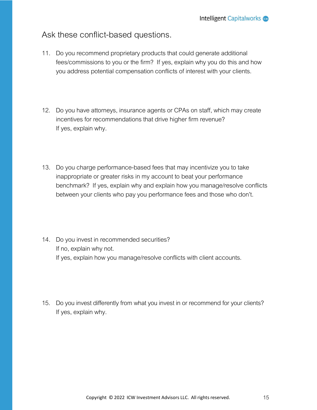## Ask these conflict-based questions.

- 11. Do you recommend proprietary products that could generate additional fees/commissions to you or the firm? If yes, explain why you do this and how you address potential compensation conflicts of interest with your clients.
- 12. Do you have attorneys, insurance agents or CPAs on staff, which may create incentives for recommendations that drive higher firm revenue? If yes, explain why.
- 13. Do you charge performance-based fees that may incentivize you to take inappropriate or greater risks in my account to beat your performance benchmark? If yes, explain why and explain how you manage/resolve conflicts between your clients who pay you performance fees and those who don't.
- 14. Do you invest in recommended securities? If no, explain why not. If yes, explain how you manage/resolve conflicts with client accounts.
- 15. Do you invest differently from what you invest in or recommend for your clients? If yes, explain why.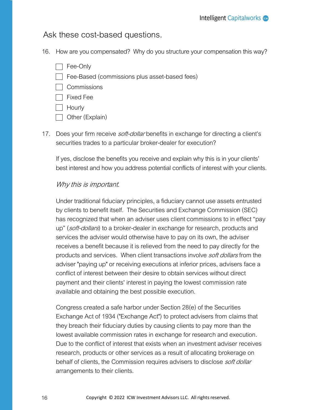Ask these cost-based questions.

- 16. How are you compensated? Why do you structure your compensation this way?
	- $\Box$  Fee-Only  $\Box$  Fee-Based (commissions plus asset-based fees) **Commissions**  $\Box$  Fixed Fee | Hourly
	- Other (Explain)
- 17. Does your firm receive *soft-dollar* benefits in exchange for directing a client's securities trades to a particular broker-dealer for execution?

If yes, disclose the benefits you receive and explain why this is in your clients' best interest and how you address potential conflicts of interest with your clients.

#### Why this is important.

Under traditional fiduciary principles, a fiduciary cannot use assets entrusted by clients to benefit itself. The Securities and Exchange Commission (SEC) has recognized that when an adviser uses client commissions to in effect "pay up" (soft-dollars) to a broker-dealer in exchange for research, products and services the adviser would otherwise have to pay on its own, the adviser receives a benefit because it is relieved from the need to pay directly for the products and services. When client transactions involve *soft dollars* from the adviser "paying up" or receiving executions at inferior prices, advisers face a conflict of interest between their desire to obtain services without direct payment and their clients' interest in paying the lowest commission rate available and obtaining the best possible execution.

Congress created a safe harbor under Section 28(e) of the Securities Exchange Act of 1934 ("Exchange Act") to protect advisers from claims that they breach their fiduciary duties by causing clients to pay more than the lowest available commission rates in exchange for research and execution. Due to the conflict of interest that exists when an investment adviser receives research, products or other services as a result of allocating brokerage on behalf of clients, the Commission requires advisers to disclose *soft dollar* arrangements to their clients.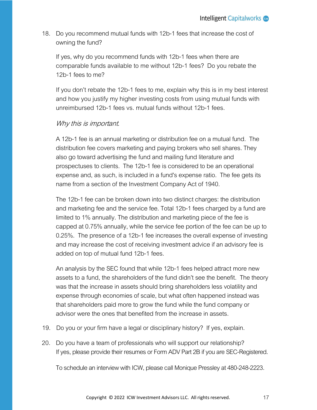18. Do you recommend mutual funds with 12b-1 fees that increase the cost of owning the fund?

If yes, why do you recommend funds with 12b-1 fees when there are comparable funds available to me without 12b-1 fees? Do you rebate the 12b-1 fees to me?

If you don't rebate the 12b-1 fees to me, explain why this is in my best interest and how you justify my higher investing costs from using mutual funds with unreimbursed 12b-1 fees vs. mutual funds without 12b-1 fees.

#### Why this is important.

A 12b-1 fee is an annual marketing or distribution fee on a mutual fund. The distribution fee covers marketing and paying brokers who sell shares. They also go toward advertising the fund and mailing fund literature and prospectuses to clients. The 12b-1 fee is considered to be an operational expense and, as such, is included in a fund's expense ratio. The fee gets its name from a section of the Investment Company Act of 1940.

The 12b-1 fee can be broken down into two distinct charges: the distribution and marketing fee and the service fee. Total 12b-1 fees charged by a fund are limited to 1% annually. The distribution and marketing piece of the fee is capped at 0.75% annually, while the service fee portion of the fee can be up to 0.25%. The presence of a 12b-1 fee increases the overall expense of investing and may increase the cost of receiving investment advice if an advisory fee is added on top of mutual fund 12b-1 fees.

An analysis by the SEC found that while 12b-1 fees helped attract more new assets to a fund, the shareholders of the fund didn't see the benefit. The theory was that the increase in assets should bring shareholders less volatility and expense through economies of scale, but what often happened instead was that shareholders paid more to grow the fund while the fund company or advisor were the ones that benefited from the increase in assets.

- 19. Do you or your firm have a legal or disciplinary history? If yes, explain.
- 20. Do you have a team of professionals who will support our relationship? If yes, please provide their resumes or Form ADV Part 2B if you are SEC-Registered.

To schedule an interview with ICW, please call Monique Pressley at 480-248-2223.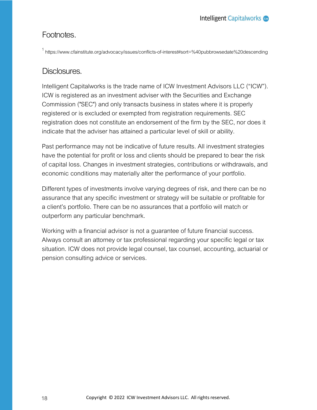### Footnotes.

<sup>1</sup> https://www.cfainstitute.org/advocacy/issues/conflicts-of-interest#sort=%40pubbrowsedate%20descending

#### Disclosures.

Intelligent Capitalworks is the trade name of ICW Investment Advisors LLC ("ICW").<br>ICW is registered as an investment adviser with the Securities and Exchange Commission ("SEC") and only transacts business in states where it is properly registered or is excluded or exempted from registration requirements. SEC registration does not constitute an endorsement of the firm by the SEC, nor does it indicate that the adviser has attained a particular level of skill or ability.

Past performance may not be indicative of future results. All investment strategies have the potential for profit or lossand clients should be prepared to bear the risk of capital loss. Changes in investment strategies, contributions or withdrawals, and economic conditions may materially alter the performance of your portfolio.

Different types of investments involve varying degrees of risk, and there can be no assurance that any specific investment or strategy will be suitable or profitable for a client's portfolio. There can be no assurances that a portfolio will match or outperform any particular benchmark.

Working with a financial advisor is not a guarantee of future financial success.<br>Always consult an attorney or tax professional regarding your specific legal or tax situation. ICW does not provide legal counsel, tax counsel, accounting, actuarial or pension consulting advice or services.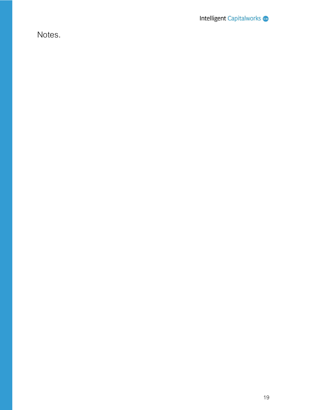Notes.